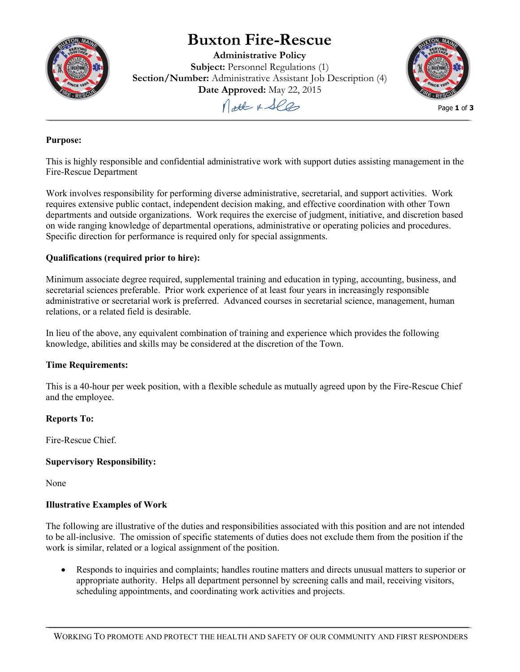

# **Buxton Fire-Rescue**

**Administrative Policy Subject:** Personnel Regulations (1) **Section/Number:** Administrative Assistant Job Description (4) **Date Approved:** May 22, 2015

Matt & See



Page **1** of **3**

## **Purpose:**

This is highly responsible and confidential administrative work with support duties assisting management in the Fire-Rescue Department

Work involves responsibility for performing diverse administrative, secretarial, and support activities. Work requires extensive public contact, independent decision making, and effective coordination with other Town departments and outside organizations. Work requires the exercise of judgment, initiative, and discretion based on wide ranging knowledge of departmental operations, administrative or operating policies and procedures. Specific direction for performance is required only for special assignments.

## **Qualifications (required prior to hire):**

Minimum associate degree required, supplemental training and education in typing, accounting, business, and secretarial sciences preferable. Prior work experience of at least four years in increasingly responsible administrative or secretarial work is preferred. Advanced courses in secretarial science, management, human relations, or a related field is desirable.

In lieu of the above, any equivalent combination of training and experience which provides the following knowledge, abilities and skills may be considered at the discretion of the Town.

## **Time Requirements:**

This is a 40-hour per week position, with a flexible schedule as mutually agreed upon by the Fire-Rescue Chief and the employee.

## **Reports To:**

Fire-Rescue Chief.

# **Supervisory Responsibility:**

None

## **Illustrative Examples of Work**

The following are illustrative of the duties and responsibilities associated with this position and are not intended to be all-inclusive. The omission of specific statements of duties does not exclude them from the position if the work is similar, related or a logical assignment of the position.

• Responds to inquiries and complaints; handles routine matters and directs unusual matters to superior or appropriate authority. Helps all department personnel by screening calls and mail, receiving visitors, scheduling appointments, and coordinating work activities and projects.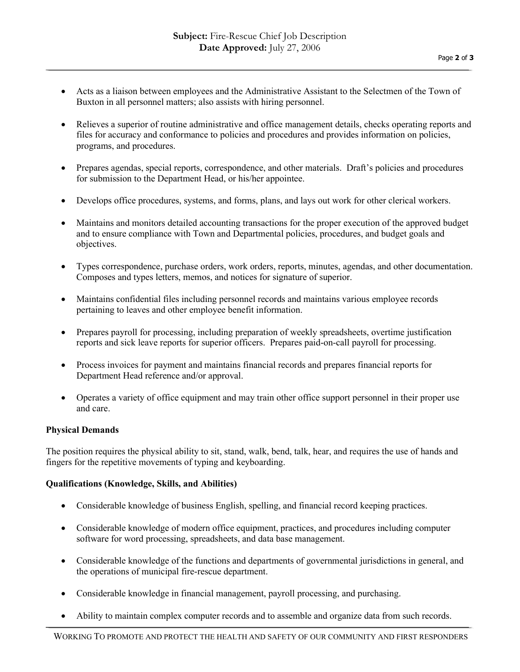- Acts as a liaison between employees and the Administrative Assistant to the Selectmen of the Town of Buxton in all personnel matters; also assists with hiring personnel.
- Relieves a superior of routine administrative and office management details, checks operating reports and files for accuracy and conformance to policies and procedures and provides information on policies, programs, and procedures.
- Prepares agendas, special reports, correspondence, and other materials. Draft's policies and procedures for submission to the Department Head, or his/her appointee.
- Develops office procedures, systems, and forms, plans, and lays out work for other clerical workers.
- Maintains and monitors detailed accounting transactions for the proper execution of the approved budget and to ensure compliance with Town and Departmental policies, procedures, and budget goals and objectives.
- Types correspondence, purchase orders, work orders, reports, minutes, agendas, and other documentation. Composes and types letters, memos, and notices for signature of superior.
- Maintains confidential files including personnel records and maintains various employee records pertaining to leaves and other employee benefit information.
- Prepares payroll for processing, including preparation of weekly spreadsheets, overtime justification reports and sick leave reports for superior officers. Prepares paid-on-call payroll for processing.
- Process invoices for payment and maintains financial records and prepares financial reports for Department Head reference and/or approval.
- Operates a variety of office equipment and may train other office support personnel in their proper use and care.

## **Physical Demands**

The position requires the physical ability to sit, stand, walk, bend, talk, hear, and requires the use of hands and fingers for the repetitive movements of typing and keyboarding.

## **Qualifications (Knowledge, Skills, and Abilities)**

- Considerable knowledge of business English, spelling, and financial record keeping practices.
- Considerable knowledge of modern office equipment, practices, and procedures including computer software for word processing, spreadsheets, and data base management.
- Considerable knowledge of the functions and departments of governmental jurisdictions in general, and the operations of municipal fire-rescue department.
- Considerable knowledge in financial management, payroll processing, and purchasing.
- Ability to maintain complex computer records and to assemble and organize data from such records.